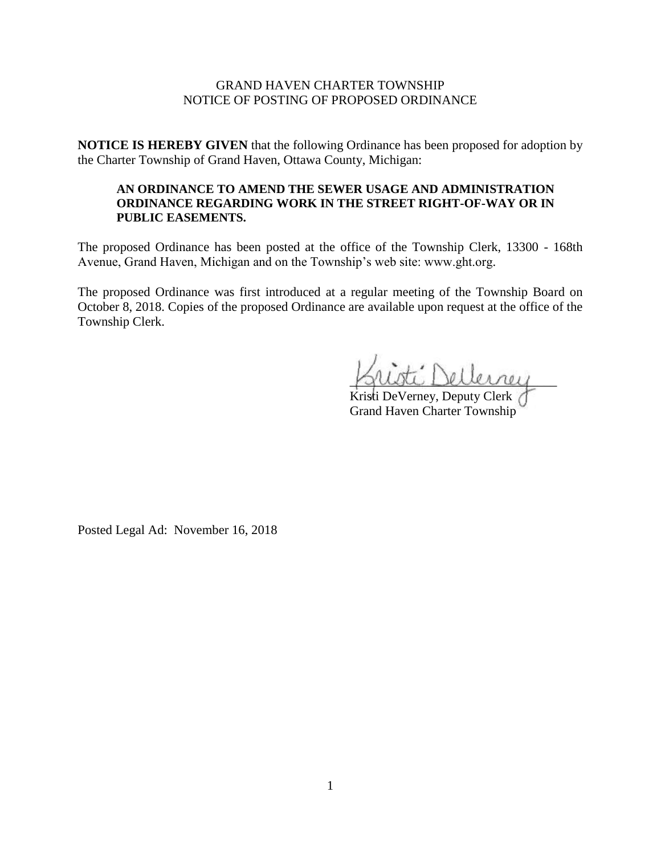### GRAND HAVEN CHARTER TOWNSHIP NOTICE OF POSTING OF PROPOSED ORDINANCE

**NOTICE IS HEREBY GIVEN** that the following Ordinance has been proposed for adoption by the Charter Township of Grand Haven, Ottawa County, Michigan:

#### **AN ORDINANCE TO AMEND THE SEWER USAGE AND ADMINISTRATION ORDINANCE REGARDING WORK IN THE STREET RIGHT-OF-WAY OR IN PUBLIC EASEMENTS.**

The proposed Ordinance has been posted at the office of the Township Clerk, 13300 - 168th Avenue, Grand Haven, Michigan and on the Township's web site: www.ght.org.

The proposed Ordinance was first introduced at a regular meeting of the Township Board on October 8, 2018. Copies of the proposed Ordinance are available upon request at the office of the Township Clerk.

\_\_\_\_\_\_\_\_\_\_\_\_\_\_\_\_\_\_\_\_\_\_\_\_\_\_\_\_\_\_\_\_

Kristi DeVerney, Deputy Clerk Grand Haven Charter Township

Posted Legal Ad: November 16, 2018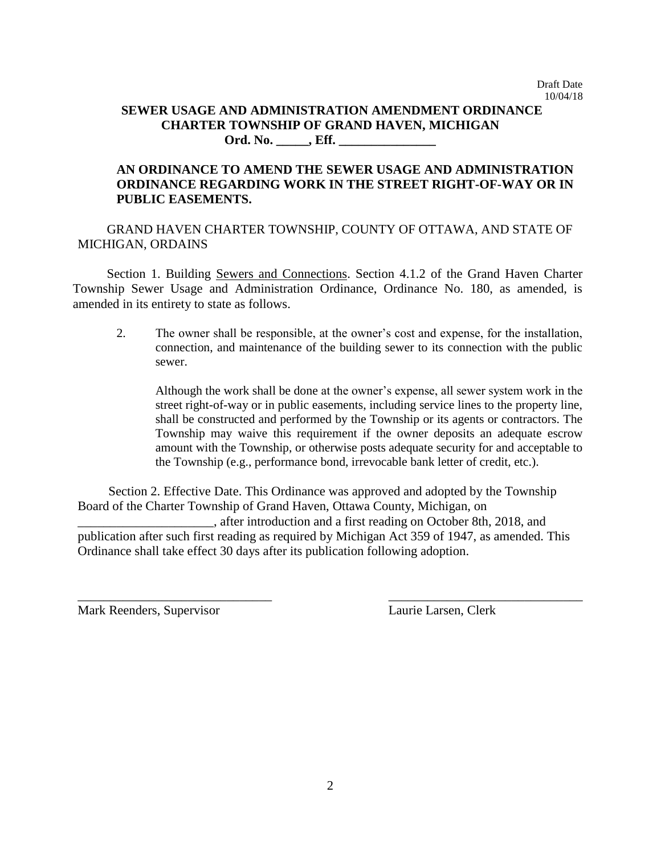Draft Date 10/04/18

### **SEWER USAGE AND ADMINISTRATION AMENDMENT ORDINANCE CHARTER TOWNSHIP OF GRAND HAVEN, MICHIGAN Ord. No. \_\_\_\_\_, Eff. \_\_\_\_\_\_\_\_\_\_\_\_\_\_\_**

## **AN ORDINANCE TO AMEND THE SEWER USAGE AND ADMINISTRATION ORDINANCE REGARDING WORK IN THE STREET RIGHT-OF-WAY OR IN PUBLIC EASEMENTS.**

GRAND HAVEN CHARTER TOWNSHIP, COUNTY OF OTTAWA, AND STATE OF MICHIGAN, ORDAINS

Section 1. Building Sewers and Connections. Section 4.1.2 of the Grand Haven Charter Township Sewer Usage and Administration Ordinance, Ordinance No. 180, as amended, is amended in its entirety to state as follows.

2. The owner shall be responsible, at the owner's cost and expense, for the installation, connection, and maintenance of the building sewer to its connection with the public sewer.

Although the work shall be done at the owner's expense, all sewer system work in the street right-of-way or in public easements, including service lines to the property line, shall be constructed and performed by the Township or its agents or contractors. The Township may waive this requirement if the owner deposits an adequate escrow amount with the Township, or otherwise posts adequate security for and acceptable to the Township (e.g., performance bond, irrevocable bank letter of credit, etc.).

 Section 2. Effective Date. This Ordinance was approved and adopted by the Township Board of the Charter Township of Grand Haven, Ottawa County, Michigan, on \_\_\_\_\_\_\_\_\_\_\_\_\_\_\_\_\_\_\_\_\_, after introduction and a first reading on October 8th, 2018, and publication after such first reading as required by Michigan Act 359 of 1947, as amended. This Ordinance shall take effect 30 days after its publication following adoption.

 $\overline{\phantom{a}}$  , and the contract of the contract of the contract of the contract of the contract of the contract of the contract of the contract of the contract of the contract of the contract of the contract of the contrac

Mark Reenders, Supervisor Laurie Larsen, Clerk